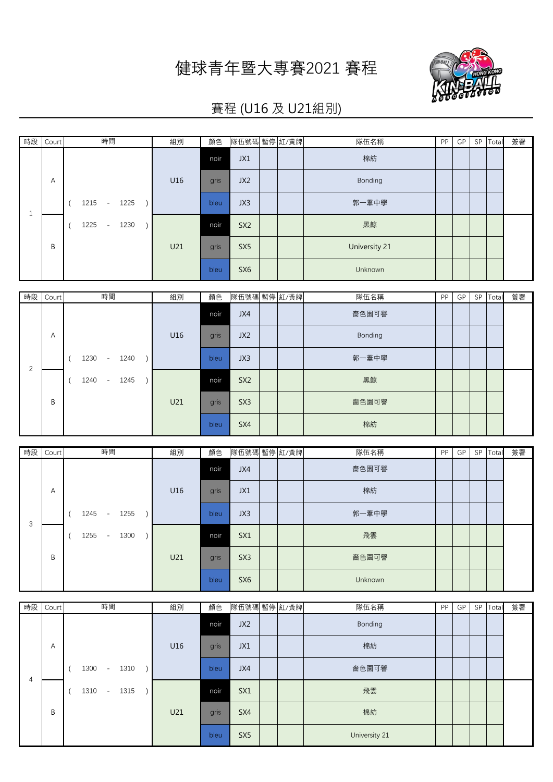## 健球青年暨大專賽2021 賽程



## 賽程 (U16 及 U21組別)

| 時段 Court | 時間                     | 組別  | 顏色   | 隊伍號碼 暫停 紅/黃牌    |  | 隊伍名稱          | PP | GP | SP Total | 簽署 |
|----------|------------------------|-----|------|-----------------|--|---------------|----|----|----------|----|
|          |                        |     | noir | JX1             |  | 棉紡            |    |    |          |    |
| A        |                        | U16 | gris | JX2             |  | Bonding       |    |    |          |    |
|          | 1225<br>1215<br>$\sim$ |     | bleu | JX3             |  | 郭一葦中學         |    |    |          |    |
|          | 1225<br>1230<br>$\sim$ |     | noir | SX <sub>2</sub> |  | 黑鯨            |    |    |          |    |
| B        |                        | U21 | gris | SX <sub>5</sub> |  | University 21 |    |    |          |    |
|          |                        |     | bleu | SX <sub>6</sub> |  | Unknown       |    |    |          |    |

| 時段 | Court | 時間                     | 組別  | 顏色   | 隊伍號碼 暫停 紅/黃牌    |  | 隊伍名稱    | <b>PP</b> | GP | SP Total | 簽署 |
|----|-------|------------------------|-----|------|-----------------|--|---------|-----------|----|----------|----|
|    |       |                        |     | noir | JX4             |  | 嗇色園可譽   |           |    |          |    |
|    | A     |                        | U16 | gris | JX2             |  | Bonding |           |    |          |    |
| 2  |       | 1230<br>1240<br>$\sim$ |     | bleu | JX3             |  | 郭一葦中學   |           |    |          |    |
|    |       | 1240<br>1245<br>$\sim$ |     | noir | SX <sub>2</sub> |  | 黑鯨      |           |    |          |    |
|    | B     |                        | U21 | gris | SX <sub>3</sub> |  | 嗇色園可譽   |           |    |          |    |
|    |       |                        |     | bleu | SX4             |  | 棉紡      |           |    |          |    |

| 時段 | Court | 時間                                       | 組別  | 顏色   | 隊伍號碼 暫停 紅/黃牌    |  | 隊伍名稱    | <b>PP</b> | GP | SP | Total | 簽署 |
|----|-------|------------------------------------------|-----|------|-----------------|--|---------|-----------|----|----|-------|----|
|    |       |                                          |     | noir | JX4             |  | 嗇色園可譽   |           |    |    |       |    |
|    | A     |                                          | U16 | gris | JX1             |  | 棉紡      |           |    |    |       |    |
| 3  |       | 1245<br>1255<br>$\sim$                   |     | bleu | JX3             |  | 郭一葦中學   |           |    |    |       |    |
|    |       | 1255<br>1300<br>$\overline{\phantom{a}}$ |     | noir | SX1             |  | 飛雲      |           |    |    |       |    |
|    | B     |                                          | U21 | gris | SX <sub>3</sub> |  | 嗇色園可譽   |           |    |    |       |    |
|    |       |                                          |     | bleu | SX <sub>6</sub> |  | Unknown |           |    |    |       |    |

| 時段 | Court | 時間                     | 組別  | 顏色   | 隊伍號碼 暫停 紅/黃牌    |  | 隊伍名稱          | <b>PP</b> | GP | SP | Total | 簽署 |
|----|-------|------------------------|-----|------|-----------------|--|---------------|-----------|----|----|-------|----|
|    |       |                        |     | noir | JX2             |  | Bonding       |           |    |    |       |    |
|    | Α     |                        | U16 | gris | JX1             |  | 棉紡            |           |    |    |       |    |
| 4  |       | 1300<br>1310<br>$\sim$ |     | bleu | JX4             |  | 嗇色園可譽         |           |    |    |       |    |
|    |       | 1310<br>1315<br>$\sim$ |     | noir | SX1             |  | 飛雲            |           |    |    |       |    |
|    | B     |                        | U21 | gris | SX4             |  | 棉紡            |           |    |    |       |    |
|    |       |                        |     | bleu | SX <sub>5</sub> |  | University 21 |           |    |    |       |    |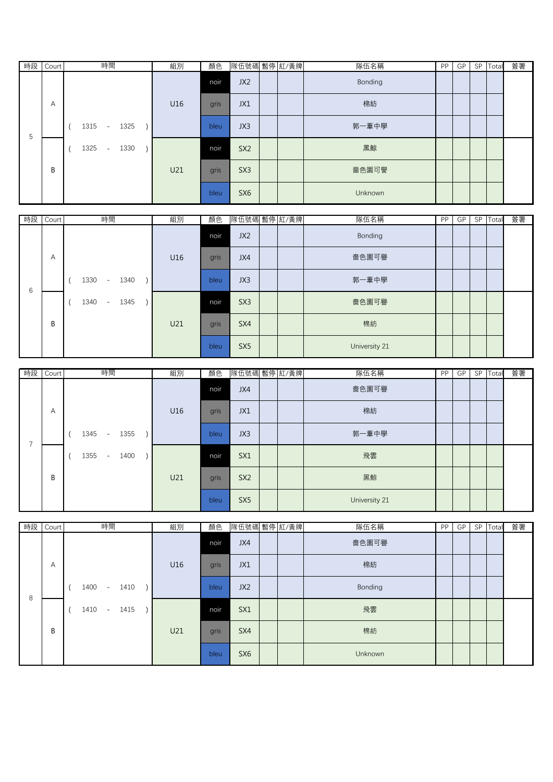| 時段 | Court | 時間                                       | 組別  | 顏色   | 隊伍號碼 暫停 紅/黃牌    |  | 隊伍名稱    | <b>PP</b> | GP | SP | Total | 簽署 |
|----|-------|------------------------------------------|-----|------|-----------------|--|---------|-----------|----|----|-------|----|
|    |       |                                          |     | noir | JX2             |  | Bonding |           |    |    |       |    |
|    | A     |                                          | U16 | gris | JX1             |  | 棉紡      |           |    |    |       |    |
| 5  |       | 1315<br>1325<br>$\overline{\phantom{a}}$ |     | bleu | JX3             |  | 郭一葦中學   |           |    |    |       |    |
|    |       | 1325<br>1330<br>$\overline{\phantom{a}}$ |     | noir | SX <sub>2</sub> |  | 黑鯨      |           |    |    |       |    |
|    | B     |                                          | U21 | gris | SX <sub>3</sub> |  | 嗇色園可譽   |           |    |    |       |    |
|    |       |                                          |     | bleu | SX <sub>6</sub> |  | Unknown |           |    |    |       |    |

| 時段 | Court | 時間                     | 組別  | 顏色   | 隊伍號碼 暫停 紅/黃牌    |  | 隊伍名稱          | <b>PP</b> | GP | SP Total | 簽署 |
|----|-------|------------------------|-----|------|-----------------|--|---------------|-----------|----|----------|----|
|    |       |                        |     | noir | JX2             |  | Bonding       |           |    |          |    |
|    | A     |                        | U16 | gris | JX4             |  | 嗇色園可譽         |           |    |          |    |
| 6  |       | 1330<br>1340<br>$\sim$ |     | bleu | JX3             |  | 郭一葦中學         |           |    |          |    |
|    |       | 1340<br>1345<br>$\sim$ |     | noir | SX <sub>3</sub> |  | 嗇色園可譽         |           |    |          |    |
|    | B     |                        | U21 | gris | SX4             |  | 棉紡            |           |    |          |    |
|    |       |                        |     | bleu | SX <sub>5</sub> |  | University 21 |           |    |          |    |

| 時段 Court | 時間                                       | 組別  | 顏色   | 隊伍號碼 暫停 紅/黃牌    |  | 隊伍名稱          | PP | GP | SP Total | 簽署 |
|----------|------------------------------------------|-----|------|-----------------|--|---------------|----|----|----------|----|
|          |                                          |     | noir | JX4             |  | 嗇色園可譽         |    |    |          |    |
| Α        |                                          | U16 | gris | JX1             |  | 棉紡            |    |    |          |    |
|          | 1345<br>1355<br>$\sim$                   |     | bleu | JX3             |  | 郭一葦中學         |    |    |          |    |
|          | 1355<br>1400<br>$\overline{\phantom{a}}$ |     | noir | SX1             |  | 飛雲            |    |    |          |    |
| B        |                                          | U21 | gris | SX <sub>2</sub> |  | 黑鯨            |    |    |          |    |
|          |                                          |     | bleu | SX5             |  | University 21 |    |    |          |    |

|   | 時段 Court | 時間                                       | 組別  | 顏色   | 隊伍號碼 暫停 紅/黃牌    |  | 隊伍名稱    | <b>PP</b> | GP | SP Total | 簽署 |
|---|----------|------------------------------------------|-----|------|-----------------|--|---------|-----------|----|----------|----|
|   |          |                                          |     | noir | JX4             |  | 嗇色園可譽   |           |    |          |    |
|   | A        |                                          | U16 | gris | JX1             |  | 棉紡      |           |    |          |    |
| 8 |          | 1400<br>1410<br>$\sim$                   |     | bleu | JX <sub>2</sub> |  | Bonding |           |    |          |    |
|   |          | 1410<br>1415<br>$\overline{\phantom{a}}$ |     | noir | SX1             |  | 飛雲      |           |    |          |    |
|   | B        |                                          | U21 | gris | SX4             |  | 棉紡      |           |    |          |    |
|   |          |                                          |     | bleu | SX <sub>6</sub> |  | Unknown |           |    |          |    |